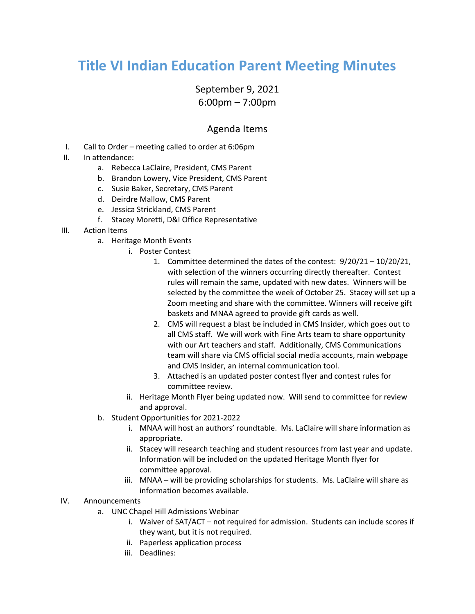## **Title VI Indian Education Parent Meeting Minutes**

## September 9, 2021 6:00pm – 7:00pm

## Agenda Items

- I. Call to Order meeting called to order at 6:06pm
- II. In attendance:
	- a. Rebecca LaClaire, President, CMS Parent
	- b. Brandon Lowery, Vice President, CMS Parent
	- c. Susie Baker, Secretary, CMS Parent
	- d. Deirdre Mallow, CMS Parent
	- e. Jessica Strickland, CMS Parent
	- f. Stacey Moretti, D&I Office Representative
- III. Action Items
	- a. Heritage Month Events
		- i. Poster Contest
			- 1. Committee determined the dates of the contest: 9/20/21 10/20/21, with selection of the winners occurring directly thereafter. Contest rules will remain the same, updated with new dates. Winners will be selected by the committee the week of October 25. Stacey will set up a Zoom meeting and share with the committee. Winners will receive gift baskets and MNAA agreed to provide gift cards as well.
			- 2. CMS will request a blast be included in CMS Insider, which goes out to all CMS staff. We will work with Fine Arts team to share opportunity with our Art teachers and staff. Additionally, CMS Communications team will share via CMS official social media accounts, main webpage and CMS Insider, an internal communication tool.
			- 3. Attached is an updated poster contest flyer and contest rules for committee review.
		- ii. Heritage Month Flyer being updated now. Will send to committee for review and approval.
	- b. Student Opportunities for 2021-2022
		- i. MNAA will host an authors' roundtable. Ms. LaClaire will share information as appropriate.
		- ii. Stacey will research teaching and student resources from last year and update. Information will be included on the updated Heritage Month flyer for committee approval.
		- iii. MNAA will be providing scholarships for students. Ms. LaClaire will share as information becomes available.

## IV. Announcements

- a. UNC Chapel Hill Admissions Webinar
	- i. Waiver of SAT/ACT not required for admission. Students can include scores if they want, but it is not required.
	- ii. Paperless application process
	- iii. Deadlines: